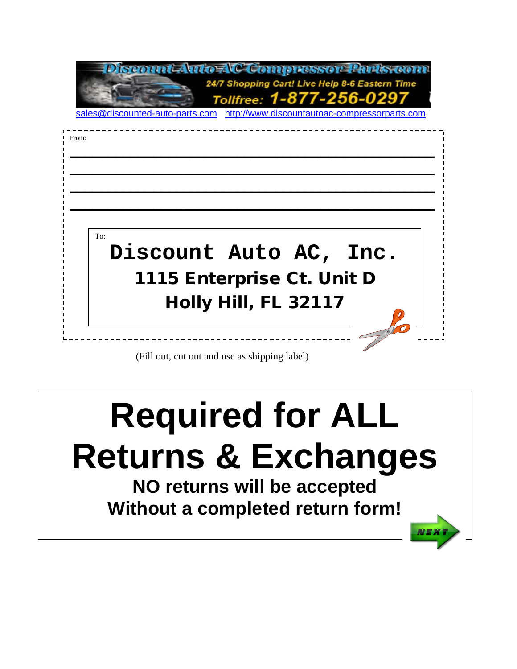

# **Required for ALL Returns & Exchanges NO returns will be accepted**

**Without a completed return form!**